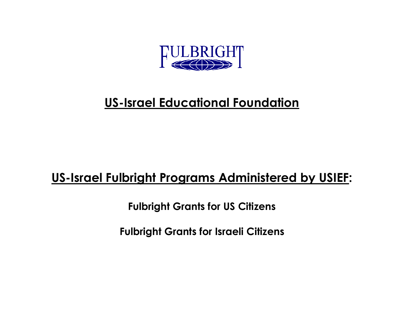

## **US-Israel Educational Foundation**

## **US-Israel Fulbright Programs Administered by USIEF:**

**Fulbright Grants for US Citizens**

**Fulbright Grants for Israeli Citizens**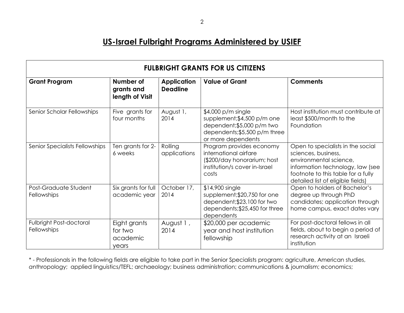## **US-Israel Fulbright Programs Administered by USIEF**

| <b>FULBRIGHT GRANTS FOR US CITIZENS</b> |                                              |                                       |                                                                                                                                        |                                                                                                                                                                                                   |  |
|-----------------------------------------|----------------------------------------------|---------------------------------------|----------------------------------------------------------------------------------------------------------------------------------------|---------------------------------------------------------------------------------------------------------------------------------------------------------------------------------------------------|--|
| <b>Grant Program</b>                    | Number of<br>grants and<br>length of Visit   | <b>Application</b><br><b>Deadline</b> | <b>Value of Grant</b>                                                                                                                  | <b>Comments</b>                                                                                                                                                                                   |  |
| Senior Scholar Fellowships              | Five grants for<br>four months               | August 1,<br>2014                     | $$4,000 p/m$ single<br>supplement; \$4,500 p/m one<br>dependent;\$5,000 p/m two<br>dependents; \$5,500 p/m three<br>or more dependents | Host institution must contribute at<br>least \$500/month to the<br>Foundation                                                                                                                     |  |
| Senior Specialists Fellowships          | Ten grants for 2-<br>6 weeks                 | Rolling<br>applications               | Program provides economy<br>international airfare<br>(\$200/day honorarium; host<br>institution/s cover in-Israel<br>costs             | Open to specialists in the social<br>sciences, business,<br>environmental science,<br>information technology, law (see<br>footnote to this table for a fully<br>detailed list of eligible fields) |  |
| Post-Graduate Student<br>Fellowships    | Six grants for full<br>academic year         | October 17,<br>2014                   | \$14,900 single<br>supplement; \$20,750 for one<br>dependent; \$23,100 for two<br>dependents; \$25,450 for three<br>dependents         | Open to holders of Bachelor's<br>degree up through PhD<br>candidates; application through<br>home campus, exact dates vary                                                                        |  |
| Fulbright Post-doctoral<br>Fellowships  | Eight grants<br>for two<br>academic<br>years | August 1,<br>2014                     | \$20,000 per academic<br>year and host institution<br>fellowship                                                                       | For post-doctoral fellows in all<br>fields, about to begin a period of<br>research activity at an Israeli<br>institution                                                                          |  |

\* - Professionals in the following fields are eligible to take part in the Senior Specialists program: agriculture, American studies, *a*nthropology; applied linguistics/TEFL; archaeology; business administration; communications & journalism; economics;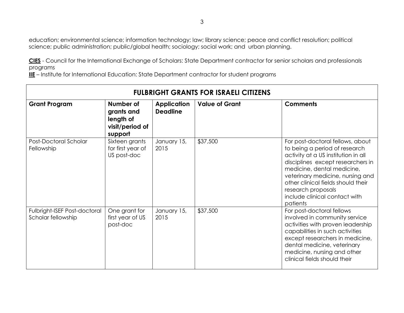education; environmental science; information technology; law; library science; peace and conflict resolution; political science; public administration; public/global health; sociology; social work; and urban planning.

**CIES** - Council for the International Exchange of Scholars: State Department contractor for senior scholars and professionals programs

**IIE** – Institute for International Education: State Department contractor for student programs

| <b>FULBRIGHT GRANTS FOR ISRAELI CITIZENS</b>       |                                                                    |                                       |                       |                                                                                                                                                                                                                                                                                                                          |
|----------------------------------------------------|--------------------------------------------------------------------|---------------------------------------|-----------------------|--------------------------------------------------------------------------------------------------------------------------------------------------------------------------------------------------------------------------------------------------------------------------------------------------------------------------|
| <b>Grant Program</b>                               | Number of<br>grants and<br>length of<br>visit/period of<br>support | <b>Application</b><br><b>Deadline</b> | <b>Value of Grant</b> | <b>Comments</b>                                                                                                                                                                                                                                                                                                          |
| Post-Doctoral Scholar<br>Fellowship                | Sixteen grants<br>for first year of<br>US post-doc                 | January 15,<br>2015                   | \$37,500              | For post-doctoral fellows, about<br>to being a period of research<br>activity at a US institution in all<br>disciplines except researchers in<br>medicine, dental medicine,<br>veterinary medicine, nursing and<br>other clinical fields should their<br>research proposals<br>include clinical contact with<br>patients |
| Fulbright-ISEF Post-doctoral<br>Scholar fellowship | One grant for<br>first year of US<br>post-doc                      | January 15,<br>2015                   | \$37,500              | For post-doctoral fellows<br>involved in community service<br>activities with proven leadership<br>capabilities in such activities<br>except researchers in medicine,<br>dental medicine, veterinary<br>medicine, nursing and other<br>clinical fields should their                                                      |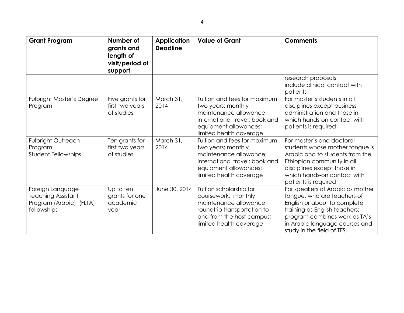| <b>Grant Program</b>                                                                    | Number of<br>grants and<br>length of<br>visit/period of<br>support | <b>Application</b><br><b>Deadline</b> | <b>Value of Grant</b>                                                                                                                                              | <b>Comments</b>                                                                                                                                                                                                                   |
|-----------------------------------------------------------------------------------------|--------------------------------------------------------------------|---------------------------------------|--------------------------------------------------------------------------------------------------------------------------------------------------------------------|-----------------------------------------------------------------------------------------------------------------------------------------------------------------------------------------------------------------------------------|
|                                                                                         |                                                                    |                                       |                                                                                                                                                                    | research proposals<br>include clinical contact with<br>patients                                                                                                                                                                   |
| <b>Fulbright Master's Degree</b><br>Program                                             | Five grants for<br>first two years<br>of studies                   | March 31,<br>2014                     | Tuition and fees for maximum<br>two years; monthly<br>maintenance allowance;<br>international travel; book and<br>equipment allowances;<br>limited health coverage | For master's students in all<br>disciplines except business<br>administration and those in<br>which hands-on contact with<br>patients is required                                                                                 |
| <b>Fulbright Outreach</b><br>Program<br><b>Student Fellowships</b>                      | Ten grants for<br>first two years<br>of studies                    | March 31,<br>2014                     | Tuition and fees for maximum<br>two years; monthly<br>maintenance allowance;<br>international travel; book and<br>equipment allowances;<br>limited health coverage | For master's and doctoral<br>students whose mother tongue is<br>Arabic and to students from the<br>Ethiopian community in all<br>disciplines except those in<br>which hands-on contact with<br>patients is required               |
| Foreign Language<br><b>Teaching Assistant</b><br>Program (Arabic) (FLTA)<br>fellowships | Up to ten<br>grants for one<br>academic<br>year                    | June 30, 2014                         | Tuition scholarship for<br>coursework; monthly<br>maintenance allowance;<br>roundtrip transportation to<br>and from the host campus;<br>limited health coverage    | For speakers of Arabic as mother<br>tongue, who are teachers of<br>English or about to complete<br>training as English teachers;<br>program combines work as TA's<br>in Arabic language courses and<br>study in the field of TESL |